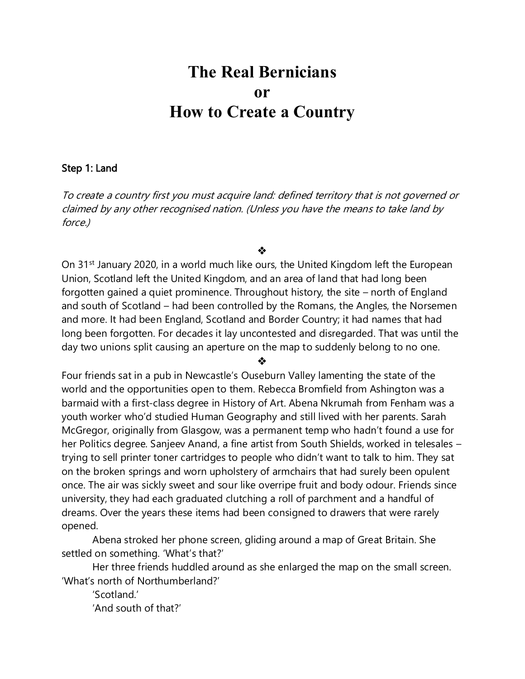# **The Real Bernicians or How to Create a Country**

### Step 1: Land

To create a country first you must acquire land: defined territory that is not governed or claimed by any other recognised nation. (Unless you have the means to take land by force.)

❖

On 31<sup>st</sup> January 2020, in a world much like ours, the United Kingdom left the European Union, Scotland left the United Kingdom, and an area of land that had long been forgotten gained a quiet prominence. Throughout history, the site – north of England and south of Scotland – had been controlled by the Romans, the Angles, the Norsemen and more. It had been England, Scotland and Border Country; it had names that had long been forgotten. For decades it lay uncontested and disregarded. That was until the day two unions split causing an aperture on the map to suddenly belong to no one.

❖

Four friends sat in a pub in Newcastle's Ouseburn Valley lamenting the state of the world and the opportunities open to them. Rebecca Bromfield from Ashington was a barmaid with a first-class degree in History of Art. Abena Nkrumah from Fenham was a youth worker who'd studied Human Geography and still lived with her parents. Sarah McGregor, originally from Glasgow, was a permanent temp who hadn't found a use for her Politics degree. Sanjeev Anand, a fine artist from South Shields, worked in telesales – trying to sell printer toner cartridges to people who didn't want to talk to him. They sat on the broken springs and worn upholstery of armchairs that had surely been opulent once. The air was sickly sweet and sour like overripe fruit and body odour. Friends since university, they had each graduated clutching a roll of parchment and a handful of dreams. Over the years these items had been consigned to drawers that were rarely opened.

Abena stroked her phone screen, gliding around a map of Great Britain. She settled on something. 'What's that?'

Her three friends huddled around as she enlarged the map on the small screen. 'What's north of Northumberland?'

'Scotland.' 'And south of that?'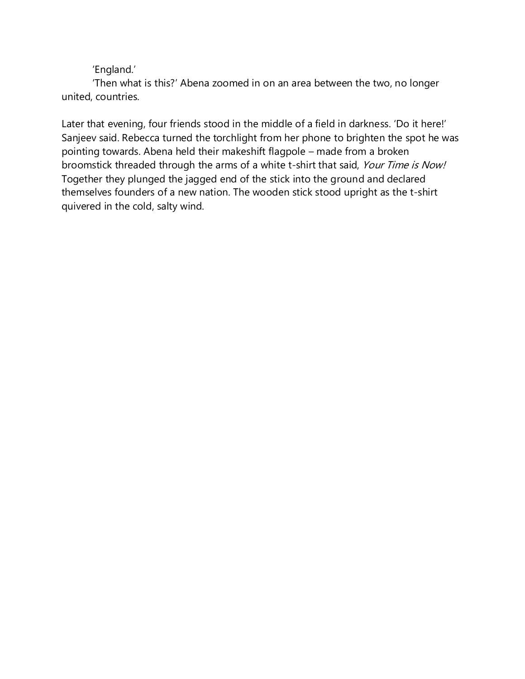'England.'

'Then what is this?' Abena zoomed in on an area between the two, no longer united, countries.

Later that evening, four friends stood in the middle of a field in darkness. 'Do it here!' Sanjeev said. Rebecca turned the torchlight from her phone to brighten the spot he was pointing towards. Abena held their makeshift flagpole – made from a broken broomstick threaded through the arms of a white t-shirt that said, Your Time is Now! Together they plunged the jagged end of the stick into the ground and declared themselves founders of a new nation. The wooden stick stood upright as the t-shirt quivered in the cold, salty wind.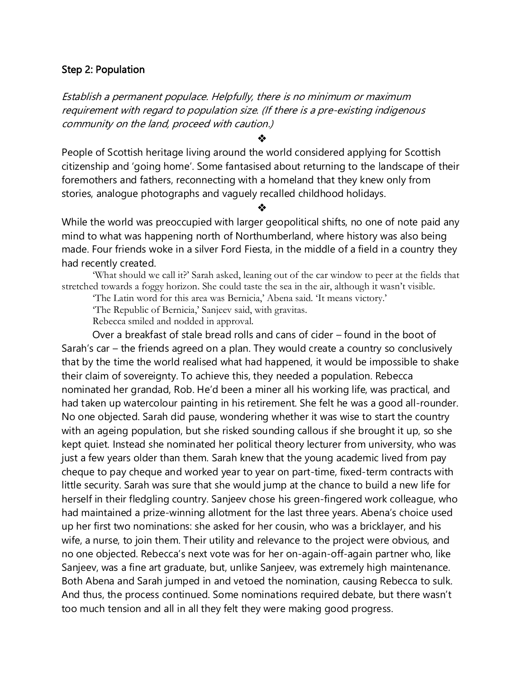#### Step 2: Population

Establish a permanent populace. Helpfully, there is no minimum or maximum requirement with regard to population size. (If there is a pre-existing indigenous community on the land, proceed with caution.)

❖

People of Scottish heritage living around the world considered applying for Scottish citizenship and 'going home'. Some fantasised about returning to the landscape of their foremothers and fathers, reconnecting with a homeland that they knew only from stories, analogue photographs and vaguely recalled childhood holidays.

❖

While the world was preoccupied with larger geopolitical shifts, no one of note paid any mind to what was happening north of Northumberland, where history was also being made. Four friends woke in a silver Ford Fiesta, in the middle of a field in a country they had recently created.

'What should we call it?' Sarah asked, leaning out of the car window to peer at the fields that stretched towards a foggy horizon. She could taste the sea in the air, although it wasn't visible.

'The Latin word for this area was Bernicia,' Abena said. 'It means victory.'

'The Republic of Bernicia,' Sanjeev said, with gravitas.

Rebecca smiled and nodded in approval.

Over a breakfast of stale bread rolls and cans of cider – found in the boot of Sarah's car – the friends agreed on a plan. They would create a country so conclusively that by the time the world realised what had happened, it would be impossible to shake their claim of sovereignty. To achieve this, they needed a population. Rebecca nominated her grandad, Rob. He'd been a miner all his working life, was practical, and had taken up watercolour painting in his retirement. She felt he was a good all-rounder. No one objected. Sarah did pause, wondering whether it was wise to start the country with an ageing population, but she risked sounding callous if she brought it up, so she kept quiet. Instead she nominated her political theory lecturer from university, who was just a few years older than them. Sarah knew that the young academic lived from pay cheque to pay cheque and worked year to year on part-time, fixed-term contracts with little security. Sarah was sure that she would jump at the chance to build a new life for herself in their fledgling country. Sanjeev chose his green-fingered work colleague, who had maintained a prize-winning allotment for the last three years. Abena's choice used up her first two nominations: she asked for her cousin, who was a bricklayer, and his wife, a nurse, to join them. Their utility and relevance to the project were obvious, and no one objected. Rebecca's next vote was for her on-again-off-again partner who, like Sanjeev, was a fine art graduate, but, unlike Sanjeev, was extremely high maintenance. Both Abena and Sarah jumped in and vetoed the nomination, causing Rebecca to sulk. And thus, the process continued. Some nominations required debate, but there wasn't too much tension and all in all they felt they were making good progress.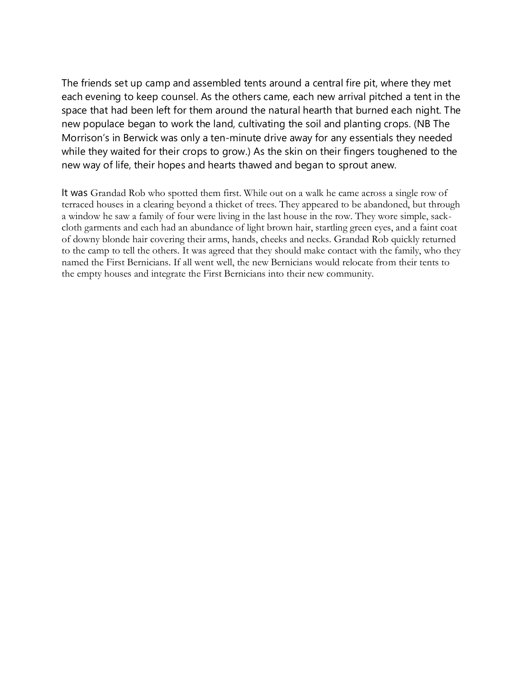The friends set up camp and assembled tents around a central fire pit, where they met each evening to keep counsel. As the others came, each new arrival pitched a tent in the space that had been left for them around the natural hearth that burned each night. The new populace began to work the land, cultivating the soil and planting crops. (NB The Morrison's in Berwick was only a ten-minute drive away for any essentials they needed while they waited for their crops to grow.) As the skin on their fingers toughened to the new way of life, their hopes and hearts thawed and began to sprout anew.

It was Grandad Rob who spotted them first. While out on a walk he came across a single row of terraced houses in a clearing beyond a thicket of trees. They appeared to be abandoned, but through a window he saw a family of four were living in the last house in the row. They wore simple, sackcloth garments and each had an abundance of light brown hair, startling green eyes, and a faint coat of downy blonde hair covering their arms, hands, cheeks and necks. Grandad Rob quickly returned to the camp to tell the others. It was agreed that they should make contact with the family, who they named the First Bernicians. If all went well, the new Bernicians would relocate from their tents to the empty houses and integrate the First Bernicians into their new community.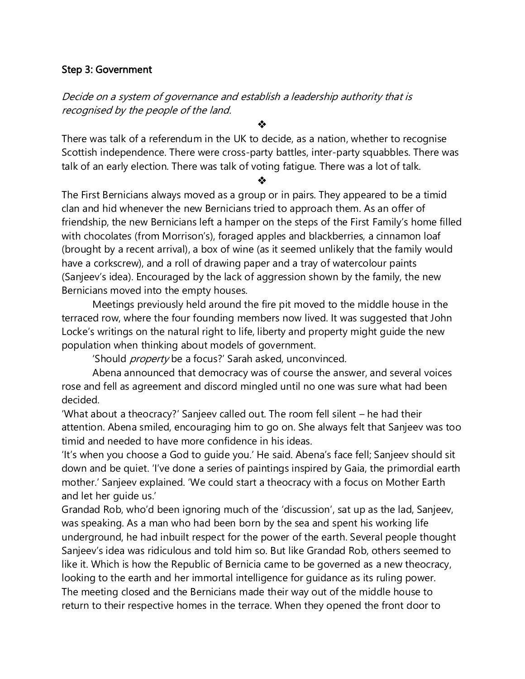## Step 3: Government

# Decide on a system of governance and establish a leadership authority that is recognised by the people of the land.

❖

There was talk of a referendum in the UK to decide, as a nation, whether to recognise Scottish independence. There were cross-party battles, inter-party squabbles. There was talk of an early election. There was talk of voting fatigue. There was a lot of talk.

❖

The First Bernicians always moved as a group or in pairs. They appeared to be a timid clan and hid whenever the new Bernicians tried to approach them. As an offer of friendship, the new Bernicians left a hamper on the steps of the First Family's home filled with chocolates (from Morrison's), foraged apples and blackberries, a cinnamon loaf (brought by a recent arrival), a box of wine (as it seemed unlikely that the family would have a corkscrew), and a roll of drawing paper and a tray of watercolour paints (Sanjeev's idea). Encouraged by the lack of aggression shown by the family, the new Bernicians moved into the empty houses.

Meetings previously held around the fire pit moved to the middle house in the terraced row, where the four founding members now lived. It was suggested that John Locke's writings on the natural right to life, liberty and property might guide the new population when thinking about models of government.

'Should property be a focus?' Sarah asked, unconvinced.

Abena announced that democracy was of course the answer, and several voices rose and fell as agreement and discord mingled until no one was sure what had been decided.

'What about a theocracy?' Sanjeev called out. The room fell silent – he had their attention. Abena smiled, encouraging him to go on. She always felt that Sanjeev was too timid and needed to have more confidence in his ideas.

'It's when you choose a God to guide you.' He said. Abena's face fell; Sanjeev should sit down and be quiet. 'I've done a series of paintings inspired by Gaia, the primordial earth mother.' Sanjeev explained. 'We could start a theocracy with a focus on Mother Earth and let her guide us.'

Grandad Rob, who'd been ignoring much of the 'discussion', sat up as the lad, Sanjeev, was speaking. As a man who had been born by the sea and spent his working life underground, he had inbuilt respect for the power of the earth. Several people thought Sanjeev's idea was ridiculous and told him so. But like Grandad Rob, others seemed to like it. Which is how the Republic of Bernicia came to be governed as a new theocracy, looking to the earth and her immortal intelligence for guidance as its ruling power. The meeting closed and the Bernicians made their way out of the middle house to return to their respective homes in the terrace. When they opened the front door to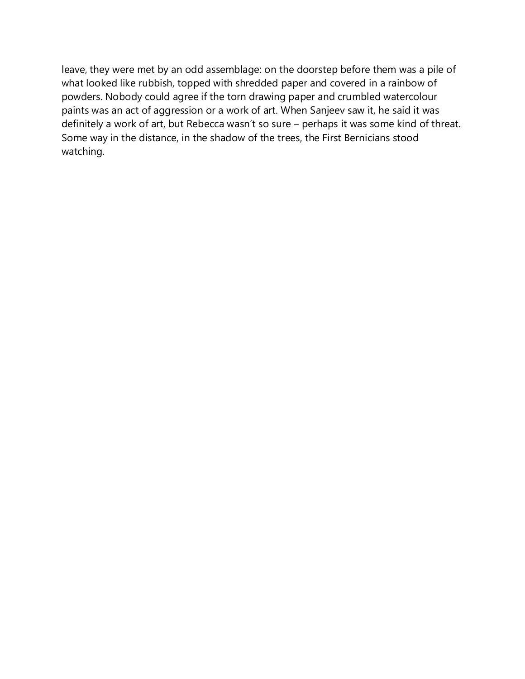leave, they were met by an odd assemblage: on the doorstep before them was a pile of what looked like rubbish, topped with shredded paper and covered in a rainbow of powders. Nobody could agree if the torn drawing paper and crumbled watercolour paints was an act of aggression or a work of art. When Sanjeev saw it, he said it was definitely a work of art, but Rebecca wasn't so sure – perhaps it was some kind of threat. Some way in the distance, in the shadow of the trees, the First Bernicians stood watching.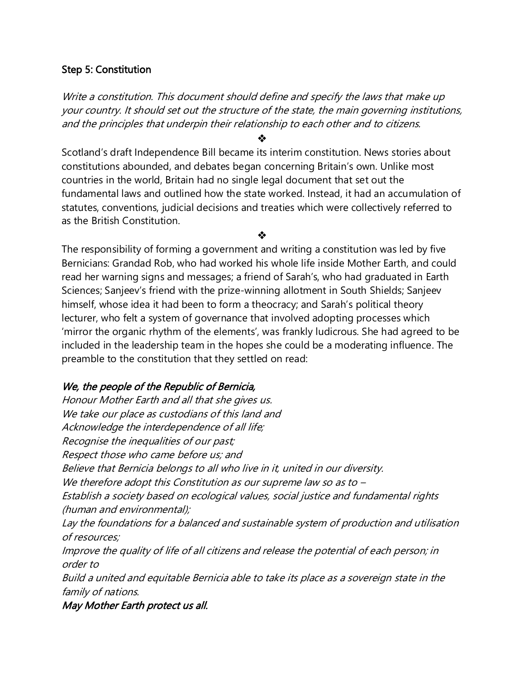## Step 5: Constitution

Write a constitution. This document should define and specify the laws that make up your country. It should set out the structure of the state, the main governing institutions, and the principles that underpin their relationship to each other and to citizens.

❖

Scotland's draft Independence Bill became its interim constitution. News stories about constitutions abounded, and debates began concerning Britain's own. Unlike most countries in the world, Britain had no single legal document that set out the fundamental laws and outlined how the state worked. Instead, it had an accumulation of statutes, conventions, judicial decisions and treaties which were collectively referred to as the British Constitution.

❖

The responsibility of forming a government and writing a constitution was led by five Bernicians: Grandad Rob, who had worked his whole life inside Mother Earth, and could read her warning signs and messages; a friend of Sarah's, who had graduated in Earth Sciences; Sanjeev's friend with the prize-winning allotment in South Shields; Sanjeev himself, whose idea it had been to form a theocracy; and Sarah's political theory lecturer, who felt a system of governance that involved adopting processes which 'mirror the organic rhythm of the elements', was frankly ludicrous. She had agreed to be included in the leadership team in the hopes she could be a moderating influence. The preamble to the constitution that they settled on read:

# We, the people of the Republic of Bernicia,

Honour Mother Earth and all that she gives us. We take our place as custodians of this land and Acknowledge the interdependence of all life; Recognise the inequalities of our past; Respect those who came before us; and Believe that Bernicia belongs to all who live in it, united in our diversity. We therefore adopt this Constitution as our supreme law so as to – Establish a society based on ecological values, social justice and fundamental rights (human and environmental); Lay the foundations for a balanced and sustainable system of production and utilisation of resources; Improve the quality of life of all citizens and release the potential of each person; in order to Build a united and equitable Bernicia able to take its place as a sovereign state in the family of nations.

May Mother Earth protect us all.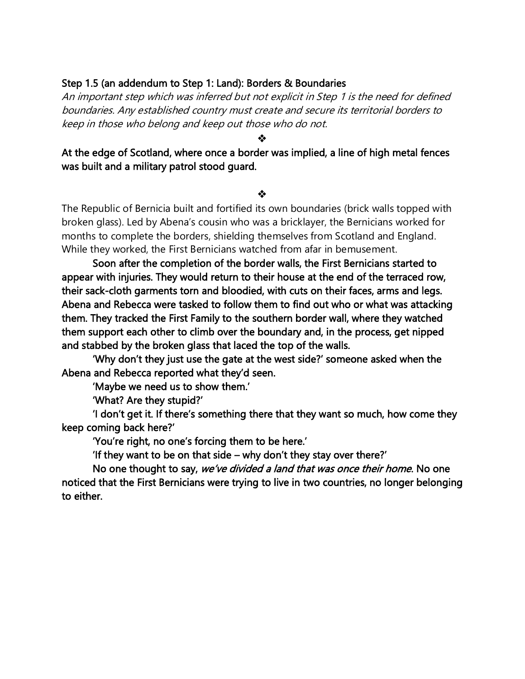## Step 1.5 (an addendum to Step 1: Land): Borders & Boundaries

An important step which was inferred but not explicit in Step 1 is the need for defined boundaries. Any established country must create and secure its territorial borders to keep in those who belong and keep out those who do not.

❖

At the edge of Scotland, where once a border was implied, a line of high metal fences was built and a military patrol stood guard.

#### ❖

The Republic of Bernicia built and fortified its own boundaries (brick walls topped with broken glass). Led by Abena's cousin who was a bricklayer, the Bernicians worked for months to complete the borders, shielding themselves from Scotland and England. While they worked, the First Bernicians watched from afar in bemusement.

 Soon after the completion of the border walls, the First Bernicians started to appear with injuries. They would return to their house at the end of the terraced row, their sack-cloth garments torn and bloodied, with cuts on their faces, arms and legs. Abena and Rebecca were tasked to follow them to find out who or what was attacking them. They tracked the First Family to the southern border wall, where they watched them support each other to climb over the boundary and, in the process, get nipped and stabbed by the broken glass that laced the top of the walls.

 'Why don't they just use the gate at the west side?' someone asked when the Abena and Rebecca reported what they'd seen.

'Maybe we need us to show them.'

'What? Are they stupid?'

 'I don't get it. If there's something there that they want so much, how come they keep coming back here?'

'You're right, no one's forcing them to be here.'

'If they want to be on that side – why don't they stay over there?'

No one thought to say, we've divided a land that was once their home. No one noticed that the First Bernicians were trying to live in two countries, no longer belonging to either.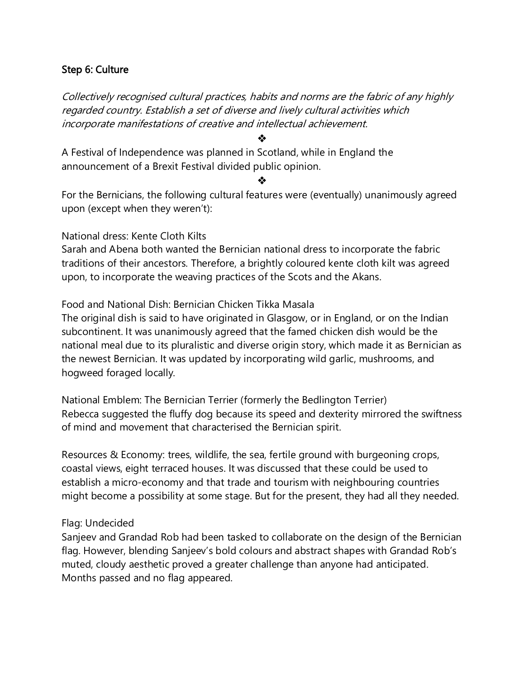## Step 6: Culture

Collectively recognised cultural practices, habits and norms are the fabric of any highly regarded country. Establish a set of diverse and lively cultural activities which incorporate manifestations of creative and intellectual achievement.

❖

A Festival of Independence was planned in Scotland, while in England the announcement of a Brexit Festival divided public opinion.

❖

For the Bernicians, the following cultural features were (eventually) unanimously agreed upon (except when they weren't):

National dress: Kente Cloth Kilts

Sarah and Abena both wanted the Bernician national dress to incorporate the fabric traditions of their ancestors. Therefore, a brightly coloured kente cloth kilt was agreed upon, to incorporate the weaving practices of the Scots and the Akans.

Food and National Dish: Bernician Chicken Tikka Masala

The original dish is said to have originated in Glasgow, or in England, or on the Indian subcontinent. It was unanimously agreed that the famed chicken dish would be the national meal due to its pluralistic and diverse origin story, which made it as Bernician as the newest Bernician. It was updated by incorporating wild garlic, mushrooms, and hogweed foraged locally.

National Emblem: The Bernician Terrier (formerly the Bedlington Terrier) Rebecca suggested the fluffy dog because its speed and dexterity mirrored the swiftness of mind and movement that characterised the Bernician spirit.

Resources & Economy: trees, wildlife, the sea, fertile ground with burgeoning crops, coastal views, eight terraced houses. It was discussed that these could be used to establish a micro-economy and that trade and tourism with neighbouring countries might become a possibility at some stage. But for the present, they had all they needed.

#### Flag: Undecided

Sanjeev and Grandad Rob had been tasked to collaborate on the design of the Bernician flag. However, blending Sanjeev's bold colours and abstract shapes with Grandad Rob's muted, cloudy aesthetic proved a greater challenge than anyone had anticipated. Months passed and no flag appeared.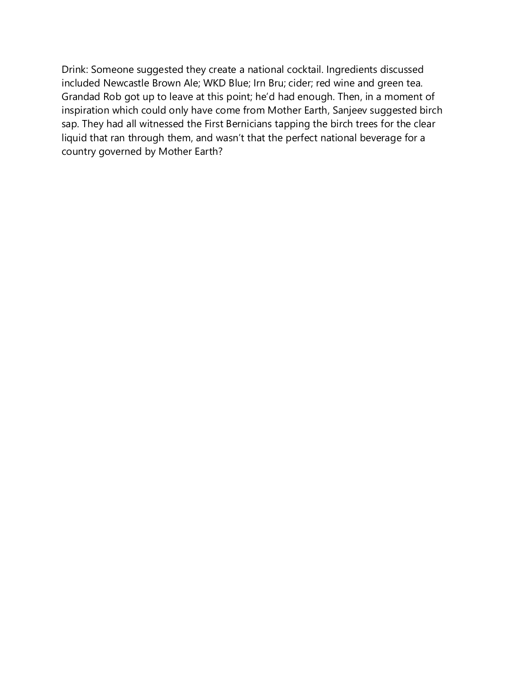Drink: Someone suggested they create a national cocktail. Ingredients discussed included Newcastle Brown Ale; WKD Blue; Irn Bru; cider; red wine and green tea. Grandad Rob got up to leave at this point; he'd had enough. Then, in a moment of inspiration which could only have come from Mother Earth, Sanjeev suggested birch sap. They had all witnessed the First Bernicians tapping the birch trees for the clear liquid that ran through them, and wasn't that the perfect national beverage for a country governed by Mother Earth?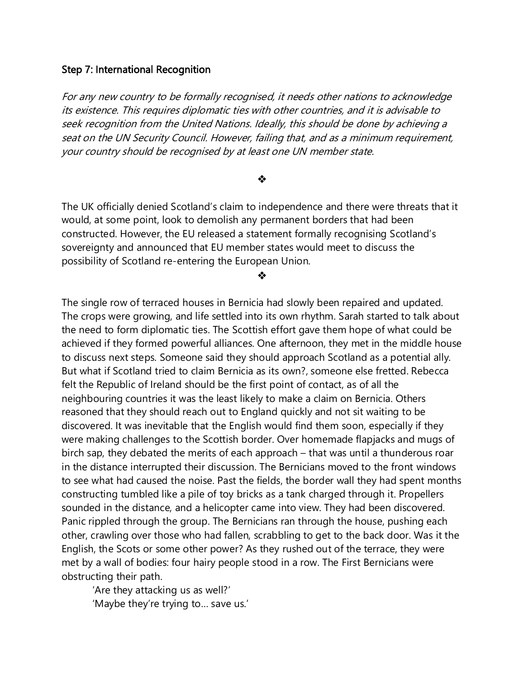#### Step 7: International Recognition

For any new country to be formally recognised, it needs other nations to acknowledge its existence. This requires diplomatic ties with other countries, and it is advisable to seek recognition from the United Nations. Ideally, this should be done by achieving a seat on the UN Security Council. However, failing that, and as a minimum requirement, your country should be recognised by at least one UN member state.

#### ❖

The UK officially denied Scotland's claim to independence and there were threats that it would, at some point, look to demolish any permanent borders that had been constructed. However, the EU released a statement formally recognising Scotland's sovereignty and announced that EU member states would meet to discuss the possibility of Scotland re-entering the European Union.

❖

The single row of terraced houses in Bernicia had slowly been repaired and updated. The crops were growing, and life settled into its own rhythm. Sarah started to talk about the need to form diplomatic ties. The Scottish effort gave them hope of what could be achieved if they formed powerful alliances. One afternoon, they met in the middle house to discuss next steps. Someone said they should approach Scotland as a potential ally. But what if Scotland tried to claim Bernicia as its own?, someone else fretted. Rebecca felt the Republic of Ireland should be the first point of contact, as of all the neighbouring countries it was the least likely to make a claim on Bernicia. Others reasoned that they should reach out to England quickly and not sit waiting to be discovered. It was inevitable that the English would find them soon, especially if they were making challenges to the Scottish border. Over homemade flapjacks and mugs of birch sap, they debated the merits of each approach – that was until a thunderous roar in the distance interrupted their discussion. The Bernicians moved to the front windows to see what had caused the noise. Past the fields, the border wall they had spent months constructing tumbled like a pile of toy bricks as a tank charged through it. Propellers sounded in the distance, and a helicopter came into view. They had been discovered. Panic rippled through the group. The Bernicians ran through the house, pushing each other, crawling over those who had fallen, scrabbling to get to the back door. Was it the English, the Scots or some other power? As they rushed out of the terrace, they were met by a wall of bodies: four hairy people stood in a row. The First Bernicians were obstructing their path.

'Are they attacking us as well?' 'Maybe they're trying to… save us.'